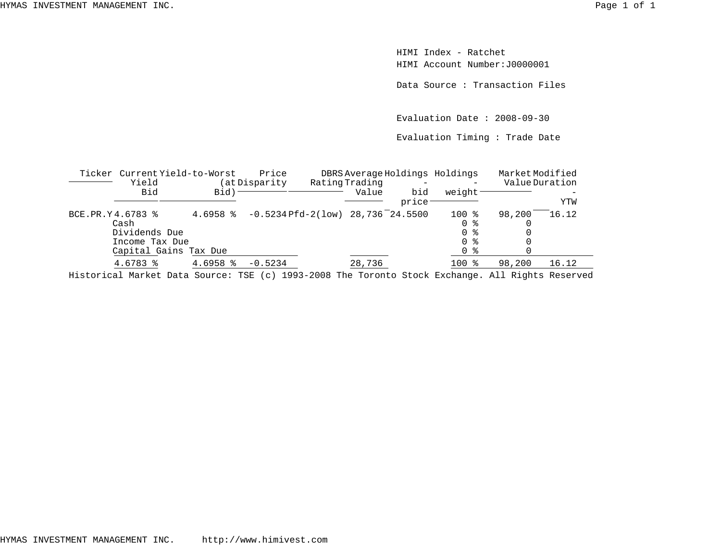HIMI Index - RatchetHIMI Account Number:J0000001

Data Source : Transaction Files

Evaluation Date : 2008-09-30

Evaluation Timing : Trade Date

|                  | Ticker Current Yield-to-Worst                                                                              |            | Price                              |                |               | DBRS Average Holdings Holdings | MarketModified |       |
|------------------|------------------------------------------------------------------------------------------------------------|------------|------------------------------------|----------------|---------------|--------------------------------|----------------|-------|
|                  | Yield                                                                                                      |            | (at Disparity                      | Rating Trading |               | -                              | Value Duration |       |
|                  | Bid                                                                                                        | Bid)       |                                    | Value          | bid<br>price: | weight                         |                | YTW   |
| BCE.PR.Y4.6783 % |                                                                                                            | $4.6958$ % | $-0.5234Pfd-2(low)$ 28,736 24.5500 |                |               | $100$ %                        | 98,200         | 16.12 |
|                  | Cash                                                                                                       |            |                                    |                |               | 0 %                            |                |       |
|                  | Dividends Due                                                                                              |            |                                    |                |               | 0 %                            |                |       |
|                  | Income Tax Due                                                                                             |            |                                    |                |               | 0 %                            |                |       |
|                  | Capital Gains Tax Due                                                                                      |            |                                    |                |               | 0 %                            |                |       |
|                  | 4.6783 %                                                                                                   | $4.6958$ % | $-0.5234$                          | 28,736         |               | $100*$                         | 98,200         | 16.12 |
|                  | The street and Monical Dotor Occurring MOD (a) 1000 0000 Mar Monical Ottoil Dealers - 11 Dealers Depressed |            |                                    |                |               |                                |                |       |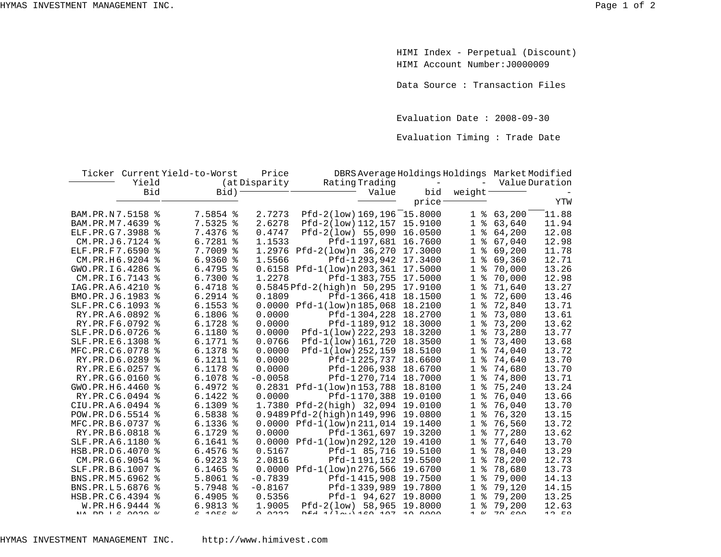HIMI Index - Perpetual (Discount) HIMI Account Number:J0000009

Data Source : Transaction Files

Evaluation Date : 2008-09-30

Evaluation Timing : Trade Date

|                                   |                | Ticker Current Yield-to-Worst | Price         | DBRS Average Holdings Holdings Market Modified |                          |                     |                          |                |
|-----------------------------------|----------------|-------------------------------|---------------|------------------------------------------------|--------------------------|---------------------|--------------------------|----------------|
|                                   | Yield          |                               | (at Disparity | Rating Trading                                 | $\overline{\phantom{a}}$ |                     |                          | Value Duration |
|                                   | <b>Bid</b>     | Bid)                          |               | Value                                          | bid                      | weight <sup>-</sup> |                          |                |
|                                   |                |                               |               |                                                | price <sup>-</sup>       |                     |                          | YTW            |
| BAM.PR.N7.5158 %                  |                | 7.5854 %                      | 2.7273        | $Pfd-2(1ow) 169, 196 15.8000$                  |                          | 1 <sup>8</sup>      | 63,200                   | 11.88          |
| BAM.PR.M7.4639 %                  |                | 7.5325 %                      | 2.6278        | Pfd-2(low) 112, 157 15.9100                    |                          | ႜ<br>1              | 63,640                   | 11.94          |
| ELF.PR.G7.3988 %                  |                | 7.4376 %                      | 0.4747        | $Pfd-2(low)$ 55,090                            | 16.0500                  | ిక<br>$\mathbf{1}$  | 64,200                   | 12.08          |
| CM.PR.J6.7124 %                   |                | $6.7281$ %                    | 1.1533        | Pfd-1197,681                                   | 16.7600                  | ిం<br>1             | 67,040                   | 12.98          |
| ELF.PR.F7.6590 %                  |                | 7.7009 %                      | 1.2976        | Pfd-2(low)n 36,270 17.3000                     |                          | ిక<br>1             | 69,200                   | 11.78          |
| CM.PR.H6.9204 %                   |                | $6.9360$ %                    | 1.5566        | Pfd-1293,942 17.3400                           |                          | ႜ<br>1              | 69,360                   | 12.71          |
| GWO.PR.I6.4286 %                  |                | $6.4795$ %                    |               | 0.6158 Pfd-1(low)n 203, 361 17.5000            |                          | ి<br>1              | 70,000                   | 13.26          |
| CM.PR.I6.7143 %                   |                | $6.7300$ $\frac{6}{3}$        | 1.2278        | Pfd-1383,755 17.5000                           |                          | $\mathbf 1$<br>နွ   | 70,000                   | 12.98          |
| IAG.PR.A6.4210 %                  |                | $6.4718$ %                    |               | 0.5845 Pfd-2(high)n 50,295 17.9100             |                          | ႜ<br>1              | 71,640                   | 13.27          |
| BMO.PR.J6.1983                    | ႜ              | $6.2914$ %                    | 0.1809        | Pfd-1366,418                                   | 18.1500                  | ႜ<br>1              | 72,600                   | 13.46          |
| SLF.PR.C6.1093 %                  |                | $6.1553$ $%$                  |               | $0.0000$ $Pfd-1(low)n185,068$                  | 18.2100                  | ႜ<br>1              | 72,840                   | 13.71          |
| RY.PR.A6.0892 %                   |                | $6.1806$ %                    | 0.0000        | Pfd-1304,228                                   | 18.2700                  | နွ<br>1             | 73,080                   | 13.61          |
| RY.PR.F6.0792 %                   |                | $6.1728$ %                    | 0.0000        | Pfd-1189,912 18.3000                           |                          | ిక<br>1             | 73,200                   | 13.62          |
| SLF.PR.D6.0726                    | ႜ              | $6.1180$ %                    | 0.0000        | Pfd-1(low) 222, 293                            | 18.3200                  | ఄ<br>1              | 73,280                   | 13.77          |
| SLF.PR.E6.1308 %                  |                | $6.1771$ %                    | 0.0766        | Pfd-1(low) 161,720 18.3500                     |                          | ఄ<br>$\mathbf{1}$   | 73,400                   | 13.68          |
| MFC.PR.C6.0778                    | ႜ              | $6.1378$ %                    | 0.0000        | Pfd-1(low) 252, 159 18.5100                    |                          | ి<br>1              | 74,040                   | 13.72          |
| RY.PR.D6.0289 %                   |                | $6.1211$ %                    | 0.0000        | Pfd-1225,737 18.6600                           |                          | $\mathbf{1}$<br>ఄ   | 74,640                   | 13.70          |
| RY.PR.E6.0257 %                   |                | $6.1178$ %                    | 0.0000        | Pfd-1206,938                                   | 18.6700                  | 1<br>ఄ              | 74,680                   | 13.70          |
| RY.PR.G6.0160 %                   |                | $6.1078$ %                    | $-0.0058$     | Pfd-1270,714 18.7000                           |                          | $\mathbf{1}$<br>ఄ   | 74,800                   | 13.71          |
| GWO.PR.H6.4460                    | ႜ              | $6.4972$ $%$                  |               | 0.2831 Pfd-1(low)n153,788                      | 18.8100                  | 1<br>နွ             | 75,240                   | 13.24          |
| RY.PR.C6.0494 %                   |                | $6.1422$ %                    | 0.0000        | Pfd-1170,388                                   | 19.0100                  | ిక<br>1             | 76,040                   | 13.66          |
| CIU.PR.A6.0494 %                  |                | $6.1309$ %                    |               | 1.7380 Pfd-2(high) 32,094                      | 19.0100                  | ఄ<br>1              | 76,040                   | 13.70          |
| POW.PR.D6.5514 %                  |                | $6.5838$ %                    |               | $0.9489$ Pfd-2(high)n 149,996                  | 19.0800                  | ఄ<br>1              | 76,320                   | 13.15          |
| MFC.PR.B6.0737 %                  |                | $6.1336$ %                    |               | 0.0000 Pfd-1(low)n211,014 19.1400              |                          | ిన<br>1             | 76,560                   | 13.72          |
| RY.PR.B6.0818                     | ፠              | $6.1729$ %                    | 0.0000        | Pfd-1361,697 19.3200                           |                          | 1<br>ႜ              | 77,280                   | 13.62          |
| SLF.PR.A6.1180 %                  |                | $6.1641$ %                    |               | $0.0000$ $Pfd-1(low)n292,120$ 19.4100          |                          | 1<br>ႜ              | 77,640                   | 13.70          |
| HSB.PR.D6.4070 %                  |                | $6.4576$ %                    | 0.5167        | Pfd-1 85,716 19.5100                           |                          | 1<br>ఄ              | 78,040                   | 13.29          |
| CM.PR.G6.9054 %                   |                | $6.9223$ $8$                  | 2.0816        | Pfd-1191,152 19.5500                           |                          | ఄ<br>1              | 78,200                   | 12.73          |
| SLF.PR.B6.1007 %                  |                | $6.1465$ %                    | 0.0000        | Pfd-1(low)n 276, 566 19.6700                   |                          | နွ<br>1             | 78,680                   | 13.73          |
| BNS.PR.M5.6962 %                  |                | $5.8061$ %                    | $-0.7839$     | Pfd-1415,908 19.7500                           |                          | ి<br>1              | 79,000                   | 14.13          |
| BNS.PR.L5.6876                    | ፠              | 5.7948 %                      | $-0.8167$     | Pfd-1339,989 19.7800                           |                          | ఄ<br>1              | 79,120                   | 14.15          |
| HSB.PR.C6.4394 %                  |                | $6.4905$ %                    | 0.5356        | Pfd-1 94,627 19.8000                           |                          | ಕಿ<br>$\mathbf{1}$  | 79,200                   | 13.25          |
|                                   | W.PR.H6.9444 % | $6.9813$ %                    | 1.9005        | Pfd-2(low) 58,965                              | 19.8000                  | နွ<br>$\mathbf{1}$  | 79,200                   | 12.63          |
| $MTA$ $CDA$ $T$ $C$ $0.0000$ $0.$ |                | $C = 1$ $\cap$ $C = 0$ .      | 0.0000        | DEJ 1/12.1160 107 10 0000                      |                          |                     | $1$ 0. 70 $\epsilon$ 0.0 | 12 FQ          |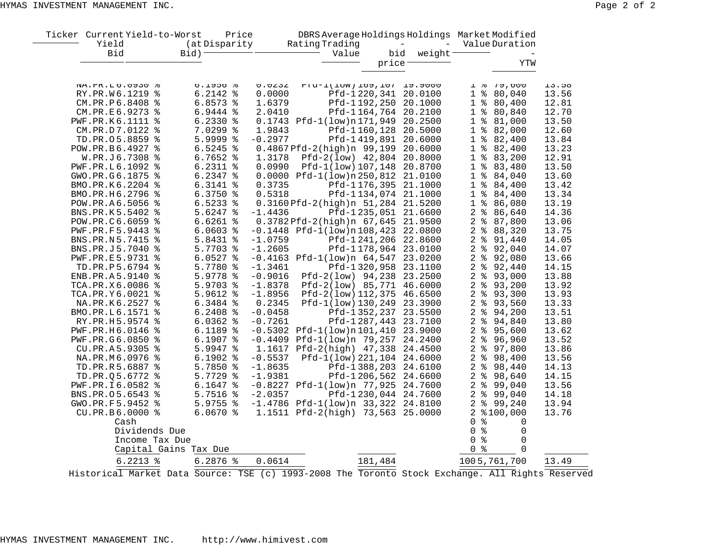| Ticker Current Yield-to-Worst                  |                               | Price         |                                      | DBRS Average Holdings Holdings Market Modified |                    |                                    |                |                                                                                                                                                                                                                                                                                                                                                                                |       |
|------------------------------------------------|-------------------------------|---------------|--------------------------------------|------------------------------------------------|--------------------|------------------------------------|----------------|--------------------------------------------------------------------------------------------------------------------------------------------------------------------------------------------------------------------------------------------------------------------------------------------------------------------------------------------------------------------------------|-------|
| Yield                                          |                               | (at Disparity |                                      | Rating Trading                                 |                    | $\overline{\phantom{a}}$<br>$\sim$ |                | Value Duration                                                                                                                                                                                                                                                                                                                                                                 |       |
| Bid                                            | Bid) <sup>-</sup>             |               |                                      | Value                                          | bid                | weight                             |                |                                                                                                                                                                                                                                                                                                                                                                                |       |
|                                                |                               |               |                                      |                                                | price <sup>-</sup> |                                    |                | YTW                                                                                                                                                                                                                                                                                                                                                                            |       |
| NA.PK.LO.UY3U &                                |                               | 0.19506       | U. U232                              | FIA-I(TOW) TOA'TON TA'ANNO                     |                    |                                    |                | 1 6 19,000                                                                                                                                                                                                                                                                                                                                                                     | 13.58 |
| RY.PR.W6.1219 %                                |                               | $6.2142$ %    | 0.0000                               |                                                |                    | Pfd-1220,341 20.0100               | 1 <sup>8</sup> | 80,040                                                                                                                                                                                                                                                                                                                                                                         | 13.56 |
| CM.PR.P6.8408 %                                |                               | $6.8573$ %    | 1.6379                               |                                                |                    | Pfd-1192,250 20.1000               |                | 1 % 80,400                                                                                                                                                                                                                                                                                                                                                                     | 12.81 |
| CM.PR.E6.9273 %                                |                               | 6.9444 %      | 2.0410                               |                                                |                    | Pfd-1164,764 20.2100               | 1 <sup>°</sup> | 80,840                                                                                                                                                                                                                                                                                                                                                                         | 12.70 |
| PWF.PR.K6.1111 %                               |                               | $6.2330$ %    |                                      | 0.1743 Pfd-1(low)n171,949 20.2500              |                    |                                    |                | 1 % 81,000                                                                                                                                                                                                                                                                                                                                                                     | 13.50 |
| CM.PR.D7.0122 %                                |                               | 7.0299 %      | 1.9843                               |                                                |                    | Pfd-1160,128 20.5000               |                | 1 % 82,000                                                                                                                                                                                                                                                                                                                                                                     | 12.60 |
| TD.PR.05.8859 %                                |                               | 5.9999 %      | $-0.2977$                            |                                                |                    | Pfd-1419,891 20.6000               |                | $1$ % 82,400                                                                                                                                                                                                                                                                                                                                                                   | 13.84 |
| POW.PR.B6.4927 %                               |                               | $6.5245$ %    |                                      | 0.4867Pfd-2(high)n 99,199 20.6000              |                    |                                    |                | $1$ % 82,400                                                                                                                                                                                                                                                                                                                                                                   | 13.23 |
| W.PR.J6.7308 %                                 |                               | $6.7652$ %    | 1.3178                               | Pfd-2(low) 42,804 20.8000                      |                    |                                    |                | $1$ % 83,200                                                                                                                                                                                                                                                                                                                                                                   | 12.91 |
| PWF.PR.L6.1092 %                               |                               | $6.2311$ %    | 0.0990                               | Pfd-1(low) 107,148 20.8700                     |                    |                                    |                | 1 % 83,480                                                                                                                                                                                                                                                                                                                                                                     | 13.50 |
| GWO.PR.G6.1875 %                               |                               |               |                                      | 6.2347 % 0.0000 Pfd-1(low)n 250,812 21.0100    |                    |                                    |                | 1 % 84,040                                                                                                                                                                                                                                                                                                                                                                     | 13.60 |
| BMO.PR.K6.2204 %                               |                               | $6.3141$ %    | 0.3735                               |                                                |                    | Pfd-1176,395 21.1000               |                | 1 % 84,400                                                                                                                                                                                                                                                                                                                                                                     | 13.42 |
| BMO.PR.H6.2796 %                               |                               | $6.3750$ %    | 0.5318                               |                                                |                    | Pfd-1134,074 21.1000               |                | $1$ % 84,400                                                                                                                                                                                                                                                                                                                                                                   | 13.34 |
| POW.PR.A6.5056 %                               |                               | $6.5233$ $%$  |                                      | 0.3160 Pfd-2(high)n 51,284 21.5200             |                    |                                    |                | 1 % 86,080                                                                                                                                                                                                                                                                                                                                                                     | 13.19 |
| BNS.PR.K5.5402 %                               |                               | $5.6247$ %    | $-1.4436$                            |                                                |                    | Pfd-1235,051 21.6600               |                | $2$ $% 86,640$                                                                                                                                                                                                                                                                                                                                                                 | 14.36 |
| POW.PR.C6.6059 %                               |                               | $6.6261$ %    |                                      | 0.3782 Pfd-2(high)n 67,645 21.9500             |                    |                                    |                | 2 % 87,800                                                                                                                                                                                                                                                                                                                                                                     | 13.06 |
| PWF.PR.F5.9443 %                               |                               | $6.0603$ %    |                                      | $-0.1448$ Pfd-1(low)n108,423 22.0800           |                    |                                    | 2 <sup>°</sup> | 88,320                                                                                                                                                                                                                                                                                                                                                                         | 13.75 |
| BNS.PR.N5.7415 %                               |                               | 5.8431 %      | $-1.0759$                            |                                                |                    | Pfd-1241,206 22.8600               |                | 2 % 91,440                                                                                                                                                                                                                                                                                                                                                                     | 14.05 |
| BNS.PR.J5.7040 %                               |                               | 5.7703 %      | $-1.2605$                            |                                                |                    | Pfd-1178,964 23.0100               |                | $2$ $% 92,040$                                                                                                                                                                                                                                                                                                                                                                 | 14.07 |
| PWF.PR.E5.9731 %                               |                               | $6.0527$ %    |                                      | $-0.4163$ Pfd-1(low)n $64,547$ 23.0200         |                    |                                    |                | 2 % 92,080                                                                                                                                                                                                                                                                                                                                                                     | 13.66 |
| TD.PR.P5.6794 %                                |                               | 5.7780 %      | $-1.3461$                            |                                                |                    | Pfd-1320,958 23.1100               |                | $2$ $\frac{1}{6}$ 92,440                                                                                                                                                                                                                                                                                                                                                       | 14.15 |
| ENB.PR.A5.9140 %                               |                               | 5.9778 %      |                                      | $-0.9016$ Pfd-2(low) 94,238 23.2500            |                    |                                    |                | 2 % 93,000                                                                                                                                                                                                                                                                                                                                                                     | 13.88 |
| TCA.PR.X6.0086 %                               |                               | 5.9703 %      |                                      | $-1.8378$ Pfd-2(low) 85,771 46.6000            |                    |                                    |                | 2 % 93,200                                                                                                                                                                                                                                                                                                                                                                     | 13.92 |
| TCA.PR.Y6.0021 %                               |                               | 5.9612 %      |                                      | $-1.8956$ Pfd-2(low) 112,375 46.6500           |                    |                                    |                | 2 % 93,300                                                                                                                                                                                                                                                                                                                                                                     | 13.93 |
| NA.PR.K6.2527 %                                |                               | 6.3484 %      |                                      | 0.2345 Pfd-1(low)130,249 23.3900               |                    |                                    |                | 2 % 93,560                                                                                                                                                                                                                                                                                                                                                                     | 13.33 |
| BMO.PR.L6.1571 %                               |                               | $6.2408$ %    | $-0.0458$                            |                                                |                    | Pfd-1352,237 23.5500               |                | $2$ $% 94,200$                                                                                                                                                                                                                                                                                                                                                                 | 13.51 |
| RY.PR.H5.9574 %                                |                               | $6.0362$ %    | $-0.7261$                            |                                                |                    | Pfd-1287,443 23.7100               |                | $2$ $% 94,840$                                                                                                                                                                                                                                                                                                                                                                 | 13.80 |
| PWF.PR.H6.0146 %                               |                               | $6.1189$ %    |                                      | $-0.5302$ Pfd $-1(low)n101,410$ 23.9000        |                    |                                    |                | $2$ $% 95,600$                                                                                                                                                                                                                                                                                                                                                                 | 13.62 |
|                                                |                               | $6.1907$ %    |                                      | $-0.4409$ Pfd-1(low)n 79,257 24.2400           |                    |                                    |                | 2 % 96,960                                                                                                                                                                                                                                                                                                                                                                     | 13.52 |
| PWF.PR.G6.0850 %                               |                               |               |                                      |                                                |                    |                                    | 2 <sub>8</sub> |                                                                                                                                                                                                                                                                                                                                                                                |       |
| CU.PR.A5.9305 %                                |                               | $5.9947$ $%$  |                                      | 1.1617 Pfd-2(high) 47,338 24.4500              |                    |                                    |                | 97,800<br>$2$ $% 98,400$                                                                                                                                                                                                                                                                                                                                                       | 13.86 |
| NA.PR.M6.0976 %                                |                               | $6.1902$ %    | $-0.5537$                            | Pfd-1(low) 221, 104 24.6000                    |                    |                                    |                |                                                                                                                                                                                                                                                                                                                                                                                | 13.56 |
| TD.PR.R5.6887 %                                |                               | $5.7850$ %    | $-1.8635$                            |                                                |                    | Pfd-1388,203 24.6100               | 2 <sup>°</sup> | 98,440                                                                                                                                                                                                                                                                                                                                                                         | 14.13 |
| TD.PR.05.6772 %                                |                               | 5.7729 %      | $-1.9381$                            |                                                |                    | Pfd-1206,562 24.6600               |                | 2 % 98,640                                                                                                                                                                                                                                                                                                                                                                     | 14.15 |
| PWF.PR.I6.0582 %                               |                               | $6.1647$ %    |                                      | $-0.8227$ Pfd-1(low)n 77,925 24.7600           |                    |                                    |                | $2$ $% 99,040$                                                                                                                                                                                                                                                                                                                                                                 | 13.56 |
| BNS.PR.05.6543 %                               |                               | 5.7516 %      | $-2.0357$                            |                                                |                    | Pfd-1230,044 24.7600               |                | $2$ $% 99,040$                                                                                                                                                                                                                                                                                                                                                                 | 14.18 |
| GWO.PR.F5.9452 %                               |                               | 5.9755 %      |                                      | $-1.4786$ Pfd $-1(low)n$ 33,322 24.8100        |                    |                                    |                | 2 % 99,240                                                                                                                                                                                                                                                                                                                                                                     | 13.94 |
| CU.PR.B6.0000 %                                |                               | $6.0670$ %    |                                      | 1.1511 Pfd-2(high) 73,563 25.0000              |                    |                                    |                | 2 %100,000                                                                                                                                                                                                                                                                                                                                                                     | 13.76 |
| Cash                                           |                               |               |                                      |                                                |                    |                                    | 0 <sup>8</sup> | $\mathbf 0$                                                                                                                                                                                                                                                                                                                                                                    |       |
| Dividends Due                                  |                               |               |                                      |                                                |                    |                                    | 0 <sup>8</sup> | $\Omega$                                                                                                                                                                                                                                                                                                                                                                       |       |
|                                                | Income Tax Due                |               |                                      |                                                |                    |                                    | 0 <sup>8</sup> | $\Omega$                                                                                                                                                                                                                                                                                                                                                                       |       |
|                                                | Capital Gains Tax Due         |               |                                      |                                                |                    |                                    | 0 <sub>8</sub> | $\Omega$                                                                                                                                                                                                                                                                                                                                                                       |       |
| $6.2213$ %                                     |                               | $6.2876$ %    | 0.0614                               |                                                | 181,484            |                                    |                | 1005,761,700                                                                                                                                                                                                                                                                                                                                                                   | 13.49 |
| $\mathbf{z}$ and $\mathbf{z}$ and $\mathbf{z}$ | $\overline{a}$ $\overline{a}$ |               | $\frac{1}{2}$ man $\frac{1}{2}$ 1000 | $0.000$ ml.                                    | $\sim$             |                                    |                | $\overline{a}$ 1. $\overline{a}$ $\overline{a}$ $\overline{a}$ $\overline{b}$ $\overline{c}$ $\overline{c}$ $\overline{c}$ $\overline{c}$ $\overline{c}$ $\overline{c}$ $\overline{c}$ $\overline{c}$ $\overline{c}$ $\overline{c}$ $\overline{c}$ $\overline{c}$ $\overline{c}$ $\overline{c}$ $\overline{c}$ $\overline{c}$ $\overline{c}$ $\overline{c}$ $\overline{c}$ $\$ |       |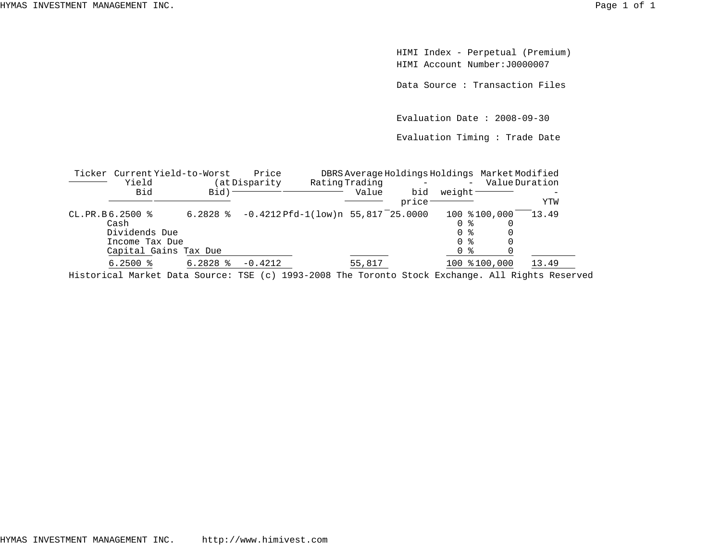HIMI Index - Perpetual (Premium) HIMI Account Number:J0000007

Data Source : Transaction Files

Evaluation Date : 2008-09-30

Evaluation Timing : Trade Date

|                   | Ticker Current Yield-to-Worst                                    |                        | Price                                                 |                         |              |                          | DBRS Average Holdings Holdings Market Modified |                       |
|-------------------|------------------------------------------------------------------|------------------------|-------------------------------------------------------|-------------------------|--------------|--------------------------|------------------------------------------------|-----------------------|
|                   | Yield<br>Bid                                                     | Bid) <sup>-</sup>      | (at Disparity                                         | Rating Trading<br>Value | bid<br>price | weight                   | $-$                                            | Value Duration<br>YTW |
| $CL.PR.B6.2500$ % | Cash<br>Dividends Due<br>Income Tax Due<br>Capital Gains Tax Due |                        | 6.2828 $\text{\$}$ -0.4212 Pfd-1(low)n 55,817 25.0000 |                         |              | 0 %<br>0 %<br>በ ፦<br>0 % | 100 \$100,000                                  | 13.49                 |
|                   | $6.2500$ $\frac{6}{3}$                                           | $6.2828$ $\frac{8}{3}$ | $-0.4212$                                             | 55,817                  |              |                          | 100 %100,000                                   | 13.49                 |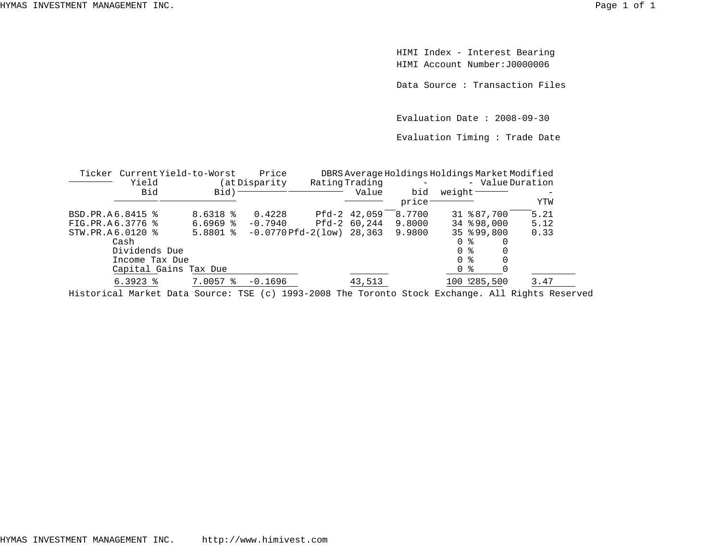HIMI Index - Interest Bearing HIMI Account Number:J0000006

Data Source : Transaction Files

Evaluation Date : 2008-09-30

Evaluation Timing : Trade Date

| Ticker           | Current Yield-to-Worst |               | Price                           |                |              |        | DBRS Average Holdings Holdings Market Modified |      |  |
|------------------|------------------------|---------------|---------------------------------|----------------|--------------|--------|------------------------------------------------|------|--|
|                  | Yield                  | at Disparity) |                                 | Rating Trading |              |        | - ValueDuration                                |      |  |
|                  | Bid                    | Bid)          |                                 |                | Value        | bid    | weight <sup>-</sup>                            |      |  |
|                  |                        |               |                                 |                |              | price  |                                                | YTW  |  |
| BSD.PR.A6.8415 % |                        | $8.6318$ %    | 0.4228                          |                | Pfd-2 42,059 | 8.7700 | 31 % 87,700                                    | 5.21 |  |
| FIG.PR.A6.3776 % |                        | $6.6969$ $8$  | $-0.7940$                       |                | Pfd-2 60,244 | 9.8000 | 34 898,000                                     | 5.12 |  |
| STW.PR.A6.0120 % |                        | $5.8801$ %    | $-0.0770$ Pfd $-2(1$ ow) 28,363 |                |              | 9.9800 | 35 899,800                                     | 0.33 |  |
|                  | Cash                   |               |                                 |                |              |        | 0<br>ႜ                                         |      |  |
|                  | Dividends Due          |               |                                 |                |              |        |                                                |      |  |
|                  | Income Tax Due         |               |                                 |                |              |        | 0 %                                            |      |  |
|                  | Capital Gains Tax Due  |               |                                 |                |              |        | ႜ<br>0                                         |      |  |
|                  | $6.3923$ $8$           | $7.0057$ %    | $-0.1696$                       |                | 43,513       |        | 100 285,500                                    | 3.47 |  |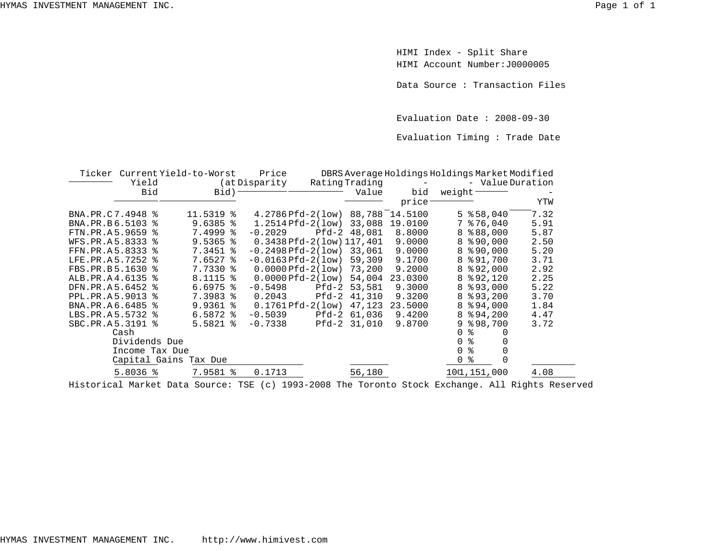HIMI Index - Split Share HIMI Account Number:J0000005

Data Source : Transaction Files

Evaluation Date : 2008-09-30

Evaluation Timing : Trade Date

|                  |               |                | Ticker Current Yield-to-Worst | Price                            |         |                | DBRS Average Holdings Holdings Market Modified |                |                 |      |
|------------------|---------------|----------------|-------------------------------|----------------------------------|---------|----------------|------------------------------------------------|----------------|-----------------|------|
|                  | Yield         |                |                               | (at Disparity                    |         | Rating Trading | $\sim$ $-$                                     |                | - ValueDuration |      |
|                  | Bid           |                | $Bid$ )                       |                                  |         | Value          | bid                                            | weight         |                 |      |
|                  |               |                |                               |                                  |         |                | price                                          |                |                 | YTW  |
| BNA.PR.C7.4948 % |               |                | 11.5319 %                     | 4.2786 Pfd-2(low) 88,788 14.5100 |         |                |                                                |                | $5$ $$58,040$   | 7.32 |
| BNA.PR.B6.5103 % |               |                | $9.6385$ $\frac{8}{3}$        | $1.2514Pfd-2(low)$               |         | 33,088         | 19.0100                                        |                | $7$ $$76,040$   | 5.91 |
| FTN.PR.A5.9659 % |               |                | $7.4999$ $8$                  | $-0.2029$                        |         | Pfd-2 48,081   | 8,8000                                         |                | 8 % 88,000      | 5.87 |
| WFS.PR.A5.8333 % |               |                | $9.5365$ $\frac{8}{3}$        | $0.3438$ Pfd-2(low) $117,401$    |         |                | 9.0000                                         |                | $8$ $$90,000$   | 2.50 |
| FFN.PR.A5.8333 % |               |                | 7.3451 %                      | $-0.2498$ Pfd $-2$ (low) 33,061  |         |                | 9,0000                                         |                | $8$ $$90.000$   | 5.20 |
| LFE.PR.A5.7252 % |               |                | $7.6527$ $\approx$            | $-0.0163$ Pfd $-2(1$ ow)         |         | 59,309         | 9.1700                                         |                | 8 % 91,700      | 3.71 |
| FBS.PR.B5.1630 % |               |                | 7.7330 %                      | $0.0000Pfd-2(low)$ 73,200        |         |                | 9.2000                                         |                | $8$ $$92,000$   | 2.92 |
| ALB.PR.A4.6135 % |               |                | 8.1115 %                      | $0.0000Pfd-2(1ow)$               |         | 54,004         | 23.0300                                        |                | $8$ $$92,120$   | 2.25 |
| DFN.PR.A5.6452 % |               |                | $6.6975$ $\frac{6}{3}$        | $-0.5498$                        | Pfd-2   | 53,581         | 9.3000                                         |                | 8 8 9 3,000     | 5.22 |
| PPL.PR.A5.9013 % |               |                | 7.3983 %                      | 0.2043                           | $Pfd-2$ | 41,310         | 9.3200                                         |                | $8$ $$93,200$   | 3.70 |
| BNA.PR.A6.6485 % |               |                | $9.9361$ $8$                  | $0.1761Pfd-2(low)$               |         | 47,123         | 23.5000                                        |                | $8$ $$94,000$   | 1.84 |
| LBS.PR.A5.5732 % |               |                | $6.5872$ $\frac{8}{3}$        | $-0.5039$                        |         | Pfd-2 61,036   | 9.4200                                         |                | 8894,200        | 4.47 |
| SBC.PR.A5.3191 % |               |                | $5.5821$ $%$                  | $-0.7338$                        |         | Pfd-2 31,010   | 9.8700                                         |                | $9$ $$98,700$   | 3.72 |
|                  | Cash          |                |                               |                                  |         |                |                                                | ిన<br>0        | 0               |      |
|                  | Dividends Due |                |                               |                                  |         |                |                                                | ిక<br>$\Omega$ |                 |      |
|                  |               | Income Tax Due |                               |                                  |         |                |                                                | %<br>$\Omega$  |                 |      |
|                  |               |                | Capital Gains Tax Due         |                                  |         |                |                                                | ిక<br>0        | 0               |      |
|                  | $5.8036$ %    |                | 7.9581 %                      | 0.1713                           |         | 56,180         |                                                |                | 101,151,000     | 4.08 |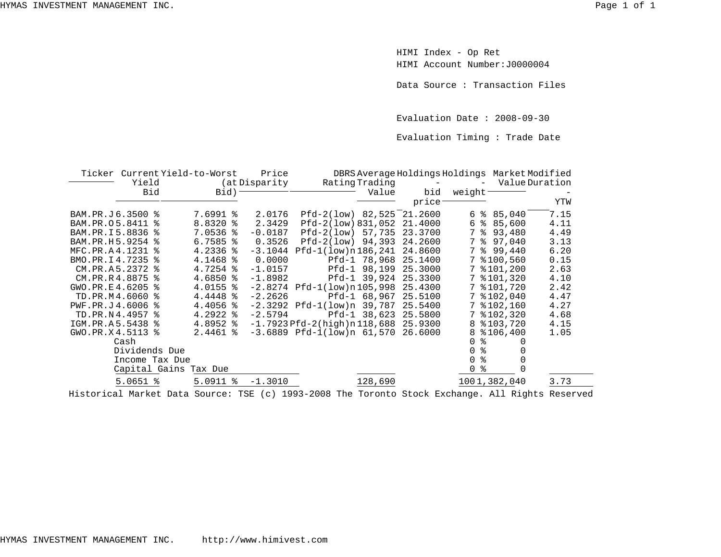HIMI Index - Op Ret HIMI Account Number:J0000004

Data Source : Transaction Files

Evaluation Date : 2008-09-30

Evaluation Timing : Trade Date

|                  |                | Ticker Current Yield-to-Worst | Price          |                                            |                |                      |                 | DBRS Average Holdings Holdings Market Modified |      |
|------------------|----------------|-------------------------------|----------------|--------------------------------------------|----------------|----------------------|-----------------|------------------------------------------------|------|
|                  | Yield          |                               | (at Disparity) |                                            | Rating Trading |                      |                 | Value Duration                                 |      |
|                  | Bid            | Bid) –                        |                |                                            | Value          | bid                  | weight-         |                                                |      |
|                  |                |                               |                |                                            |                | price <sup>-</sup>   |                 |                                                | YTW  |
| BAM.PR.J6.3500 % |                | 7.6991 %                      | 2.0176         | Pfd-2(low) 82,525 21.2600                  |                |                      |                 | $6 \text{ } * \text{ } 85,040$                 | 7.15 |
| BAM.PR.05.8411 % |                | 8.8320 %                      | 2.3429         | Pfd-2(low) 831,052 21.4000                 |                |                      | 6               | 885,600                                        | 4.11 |
| BAM.PR.I5.8836 % |                | $7.0536$ %                    | $-0.0187$      | Pfd-2(low) 57,735 23.3700                  |                |                      | $7\overline{ }$ | 893,480                                        | 4.49 |
| BAM.PR.H5.9254 % |                | $6.7585$ $\frac{8}{3}$        | 0.3526         | $Pfd-2(low)$ 94,393                        |                | 24.2600              | 7               | \$97,040                                       | 3.13 |
| MFC.PR.A4.1231 % |                | $4.2336$ %                    |                | $-3.1044$ Pfd $-1(low)$ n 186,241 24.8600  |                |                      | $7^{\circ}$     | 899,440                                        | 6.20 |
| BMO.PR.I4.7235 % |                | 4.1468 %                      | 0.0000         |                                            |                | Pfd-1 78,968 25.1400 |                 | 7 %100,560                                     | 0.15 |
| CM.PR.A5.2372 %  |                | $4.7254$ $\frac{8}{3}$        | $-1.0157$      |                                            |                | Pfd-1 98,199 25.3000 |                 | $7$ $$101,200$                                 | 2.63 |
| CM.PR.R4.8875 %  |                | 4.6850 %                      | $-1.8982$      |                                            |                | Pfd-1 39,924 25.3300 |                 | 7 % 101, 320                                   | 4.10 |
| GWO.PR.E4.6205 % |                | 4.0155 %                      |                | $-2.8274$ Pfd-1(low)n105,998 25.4300       |                |                      |                 | 7 % 101,720                                    | 2.42 |
| TD.PR.M4.6060 %  |                | 4.4448 %                      | $-2.2626$      |                                            |                | Pfd-1 68,967 25.5100 |                 | 7 % 102,040                                    | 4.47 |
| PWF.PR.J4.6006 % |                | $4.4056$ %                    |                | $-2.3292$ Pfd $-1(low)n$ 39,787 25.5400    |                |                      |                 | 7 % 102, 160                                   | 4.27 |
| TD.PR.N4.4957 %  |                | $4.2922$ $8$                  | $-2.5794$      |                                            |                | Pfd-1 38,623 25.5800 |                 | 7 % 102, 320                                   | 4.68 |
| IGM.PR.A5.5438 % |                | $4.8952$ $*$                  |                | $-1.7923$ Pfd $-2$ (high)n 118,688 25.9300 |                |                      |                 | 8 % 103, 720                                   | 4.15 |
| GWO.PR.X4.5113 % |                | $2.4461$ %                    |                | $-3.6889$ Pfd $-1(low)n$ 61,570 26.6000    |                |                      |                 | $8$ $$106,400$                                 | 1.05 |
|                  | Cash           |                               |                |                                            |                |                      | $\Omega$        | ⊱<br>0                                         |      |
|                  | Dividends Due  |                               |                |                                            |                |                      | 0               | ి                                              |      |
|                  | Income Tax Due |                               |                |                                            |                |                      | $\Omega$        | ిక                                             |      |
|                  |                | Capital Gains Tax Due         |                |                                            |                |                      | 0               | ႜ                                              |      |
|                  | $5.0651$ %     | $5.0911$ %                    | $-1.3010$      |                                            | 128,690        |                      |                 | 1001,382,040                                   | 3.73 |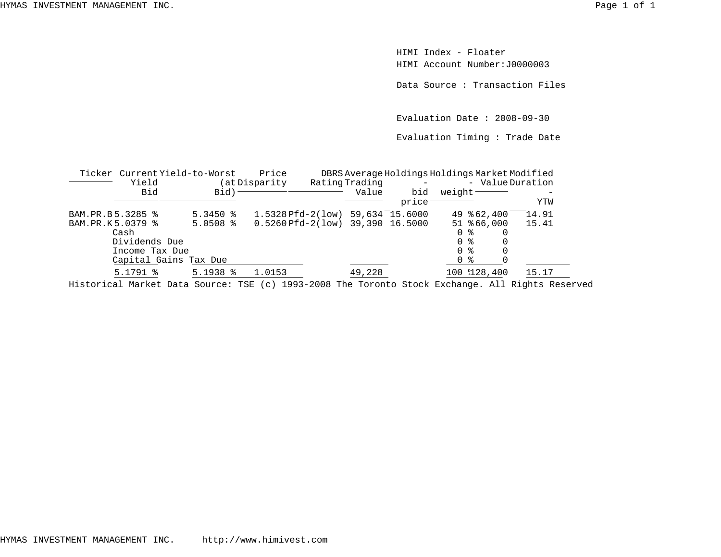HIMI Index - FloaterHIMI Account Number:J0000003

Data Source : Transaction Files

Evaluation Date : 2008-09-30

Evaluation Timing : Trade Date

| Ticker           | Current Yield-to-Worst |                        | Price                              |                |       | DBRS Average Holdings Holdings Market Modified                                                                 |       |
|------------------|------------------------|------------------------|------------------------------------|----------------|-------|----------------------------------------------------------------------------------------------------------------|-------|
|                  | Yield                  |                        | (at Disparity                      | Rating Trading |       | - ValueDuration                                                                                                |       |
|                  | Bid                    | Bid)                   |                                    | Value          | bid   | weight <sup>-</sup>                                                                                            |       |
|                  |                        |                        |                                    |                | price |                                                                                                                | YTW   |
| BAM.PR.B5.3285 % |                        | $5.3450$ $\frac{6}{5}$ | 1.5328 Pfd-2(low) 59,634 15.6000   |                |       | 49 862,400                                                                                                     | 14.91 |
| BAM.PR.K5.0379 % |                        | $5.0508$ $\frac{8}{5}$ | $0.5260$ Pfd-2(low) 39,390 16.5000 |                |       | 51 866,000                                                                                                     | 15.41 |
|                  | Cash                   |                        |                                    |                |       | 0 %                                                                                                            |       |
|                  | Dividends Due          |                        |                                    |                |       | 0 %                                                                                                            |       |
|                  | Income Tax Due         |                        |                                    |                |       | $\Omega$<br>- 옹                                                                                                |       |
|                  | Capital Gains Tax Due  |                        |                                    |                |       | ႜႜ<br>$\mathbf{0}$                                                                                             |       |
|                  | $5.1791$ %             | $5.1938$ $%$           | 1.0153                             | 49,228         |       | 100 128,400                                                                                                    | 15.17 |
|                  |                        |                        |                                    |                |       | The second selling to the Country man (s) 1000 0000 mls. mossestic attacher perchasive that political position |       |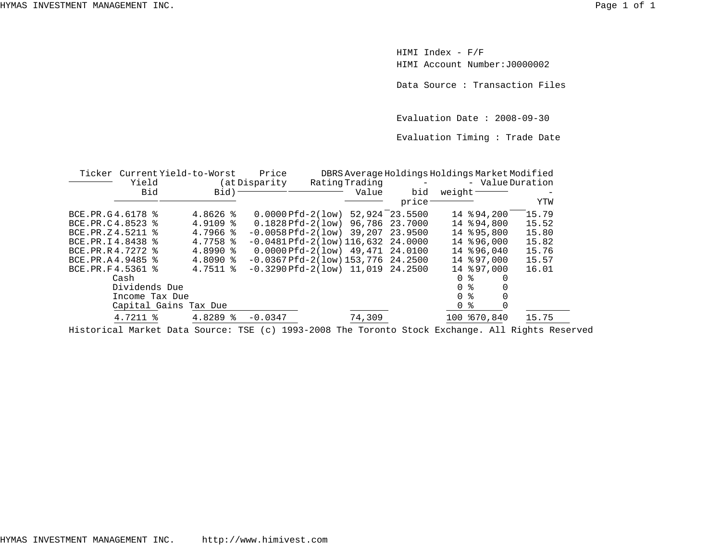HIMI Index - F/F HIMI Account Number:J0000002

Data Source : Transaction Files

Evaluation Date : 2008-09-30

Evaluation Timing : Trade Date

|                   | Ticker Current Yield-to-Worst |                        | Price              |                                          |                    | DBRS Average Holdings Holdings Market Modified |       |
|-------------------|-------------------------------|------------------------|--------------------|------------------------------------------|--------------------|------------------------------------------------|-------|
|                   | Yield                         |                        | (at Disparity      | Rating Trading                           | $\sim$ $-$         | - ValueDuration                                |       |
|                   | Bid                           | Bid)                   |                    | Value                                    | bid                | weight-                                        |       |
|                   |                               |                        |                    |                                          | price <sup>-</sup> |                                                | YTW   |
| BCE.PR.G4.6178 %  |                               | $4.8626$ %             | $0.0000Pfd-2(1ow)$ |                                          | 52,924 23.5500     | 14 894,200                                     | 15.79 |
| BCE.PR.C4.8523 %  |                               | $4.9109$ $8$           |                    | $0.1828$ Pfd-2(low) 96,786               | 23.7000            | 14 894,800                                     | 15.52 |
| BCE.PR.Z4.5211 %  |                               | $4.7966$ $*$           |                    | $-0.0058$ Pfd $-2$ (low) 39,207 23.9500  |                    | 14 895,800                                     | 15.80 |
| BCE.PR.I4.8438 %  |                               | $4.7758$ $\frac{8}{5}$ |                    | $-0.0481$ Pfd $-2(1$ ow) 116,632 24.0000 |                    | 14 896,000                                     | 15.82 |
| BCE.PR.R 4.7272 % |                               | $4.8990$ $\frac{8}{3}$ |                    | $0.0000Pfd-2(1ow)$ 49,471 24.0100        |                    | 14 896,040                                     | 15.76 |
| BCE.PR.A4.9485 %  |                               | $4.8090$ $\approx$     |                    | $-0.0367Pfd-2(low)153.77624.2500$        |                    | 14 % 97,000                                    | 15.57 |
| BCE.PR.F4.5361 %  |                               | $4.7511$ $\frac{8}{3}$ |                    | $-0.3290Pfd-2(low)$ 11,019 24.2500       |                    | 14 % 97,000                                    | 16.01 |
|                   | Cash                          |                        |                    |                                          |                    | 0 <sup>8</sup>                                 |       |
|                   | Dividends Due                 |                        |                    |                                          |                    | 0 <sup>8</sup>                                 |       |
|                   | Income Tax Due                |                        |                    |                                          |                    | 0 %                                            |       |
|                   | Capital Gains Tax Due         |                        |                    |                                          |                    | $\mathbf 0$<br>ႜ                               |       |
|                   | 4.7211 %                      | 4.8289 %               | $-0.0347$          | 74,309                                   |                    | 100 670,840                                    | 15.75 |